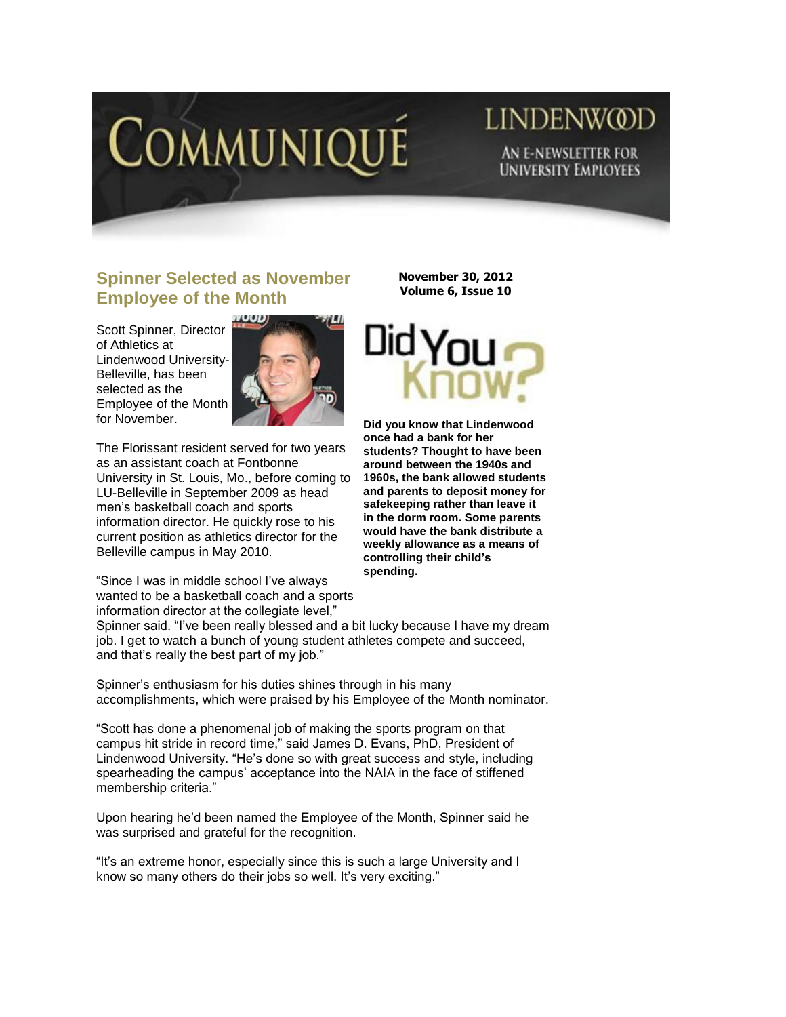

## **LINDENWOD** AN E-NEWSLETTER FOR **UNIVERSITY EMPLOYEES**

## **Spinner Selected as November Employee of the Month**

Scott Spinner, Director of Athletics at Lindenwood University-Belleville, has been selected as the Employee of the Month for November.



The Florissant resident served for two years as an assistant coach at Fontbonne University in St. Louis, Mo., before coming to LU-Belleville in September 2009 as head men's basketball coach and sports information director. He quickly rose to his current position as athletics director for the Belleville campus in May 2010.

"Since I was in middle school I've always wanted to be a basketball coach and a sports information director at the collegiate level,"

**November 30, 2012 Volume 6, Issue 10**



**Did you know that Lindenwood once had a bank for her students? Thought to have been around between the 1940s and 1960s, the bank allowed students and parents to deposit money for safekeeping rather than leave it in the dorm room. Some parents would have the bank distribute a weekly allowance as a means of controlling their child's spending.**

Spinner said. "I've been really blessed and a bit lucky because I have my dream job. I get to watch a bunch of young student athletes compete and succeed, and that's really the best part of my job."

Spinner's enthusiasm for his duties shines through in his many accomplishments, which were praised by his Employee of the Month nominator.

"Scott has done a phenomenal job of making the sports program on that campus hit stride in record time," said James D. Evans, PhD, President of Lindenwood University. "He's done so with great success and style, including spearheading the campus' acceptance into the NAIA in the face of stiffened membership criteria."

Upon hearing he'd been named the Employee of the Month, Spinner said he was surprised and grateful for the recognition.

"It's an extreme honor, especially since this is such a large University and I know so many others do their jobs so well. It's very exciting."